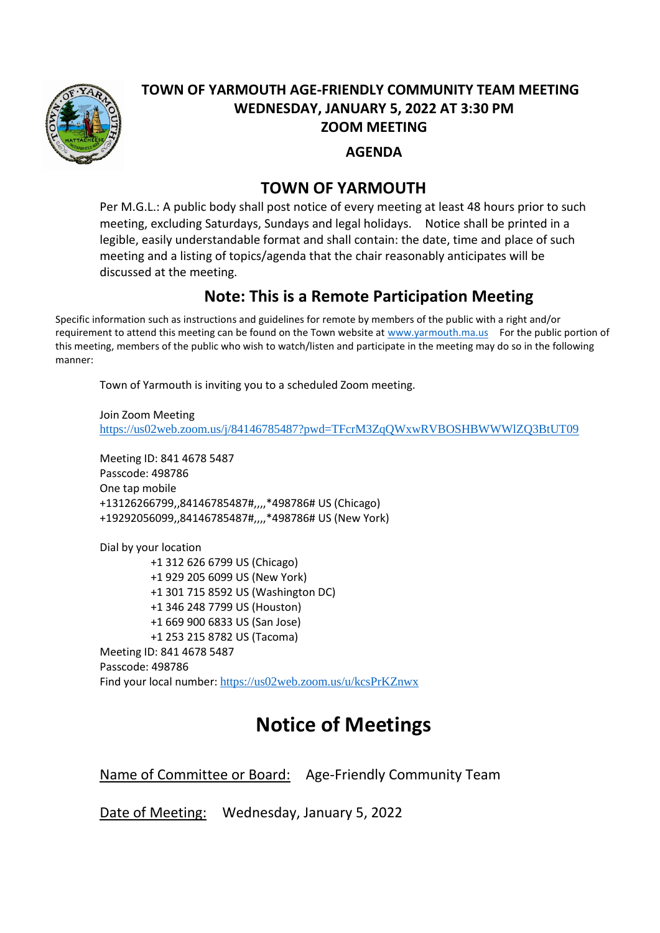

## **TOWN OF YARMOUTH AGE-FRIENDLY COMMUNITY TEAM MEETING WEDNESDAY, JANUARY 5, 2022 AT 3:30 PM ZOOM MEETING**

**AGENDA** 

## **TOWN OF YARMOUTH**

Per M.G.L.: A public body shall post notice of every meeting at least 48 hours prior to such meeting, excluding Saturdays, Sundays and legal holidays. Notice shall be printed in a legible, easily understandable format and shall contain: the date, time and place of such meeting and a listing of topics/agenda that the chair reasonably anticipates will be discussed at the meeting.

## **Note: This is a Remote Participation Meeting**

Specific information such as instructions and guidelines for remote by members of the public with a right and/or requirement to attend this meeting can be found on the Town website at [www.yarmouth.ma.us](http://www.yarmouth.ma.us/) For the public portion of this meeting, members of the public who wish to watch/listen and participate in the meeting may do so in the following manner:

Town of Yarmouth is inviting you to a scheduled Zoom meeting.

Join Zoom Meeting <https://us02web.zoom.us/j/84146785487?pwd=TFcrM3ZqQWxwRVBOSHBWWWlZQ3BtUT09>

Meeting ID: 841 4678 5487 Passcode: 498786 One tap mobile +13126266799,,84146785487#,,,,\*498786# US (Chicago) +19292056099,,84146785487#,,,,\*498786# US (New York)

Dial by your location +1 312 626 6799 US (Chicago) +1 929 205 6099 US (New York) +1 301 715 8592 US (Washington DC) +1 346 248 7799 US (Houston) +1 669 900 6833 US (San Jose) +1 253 215 8782 US (Tacoma) Meeting ID: 841 4678 5487 Passcode: 498786 Find your local number: <https://us02web.zoom.us/u/kcsPrKZnwx>

## **Notice of Meetings**

Name of Committee or Board: Age-Friendly Community Team

Date of Meeting: Wednesday, January 5, 2022